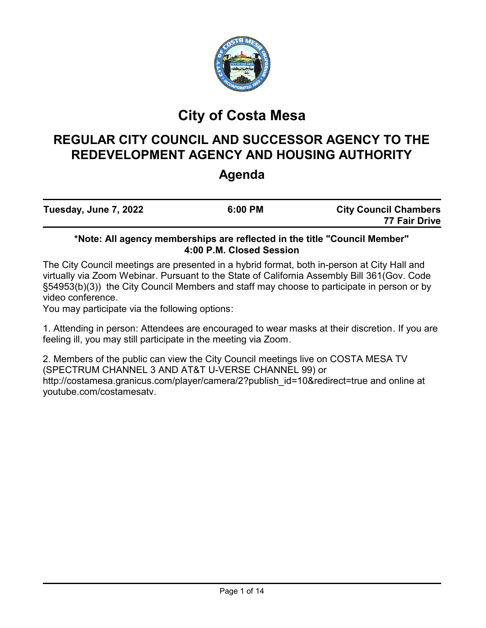

# **City of Costa Mesa**

# **REGULAR CITY COUNCIL AND SUCCESSOR AGENCY TO THE REDEVELOPMENT AGENCY AND HOUSING AUTHORITY**

# **Agenda**

| Tuesday, June 7, 2022 | 6:00 PM | <b>City Council Chambers</b><br>77 Fair Drive |
|-----------------------|---------|-----------------------------------------------|
|                       |         |                                               |

# **\*Note: All agency memberships are reflected in the title "Council Member" 4:00 P.M. Closed Session**

The City Council meetings are presented in a hybrid format, both in-person at City Hall and virtually via Zoom Webinar. Pursuant to the State of California Assembly Bill 361(Gov. Code §54953(b)(3)) the City Council Members and staff may choose to participate in person or by video conference.

You may participate via the following options:

1. Attending in person: Attendees are encouraged to wear masks at their discretion. If you are feeling ill, you may still participate in the meeting via Zoom.

2. Members of the public can view the City Council meetings live on COSTA MESA TV (SPECTRUM CHANNEL 3 AND AT&T U-VERSE CHANNEL 99) or http://costamesa.granicus.com/player/camera/2?publish\_id=10&redirect=true and online at youtube.com/costamesatv.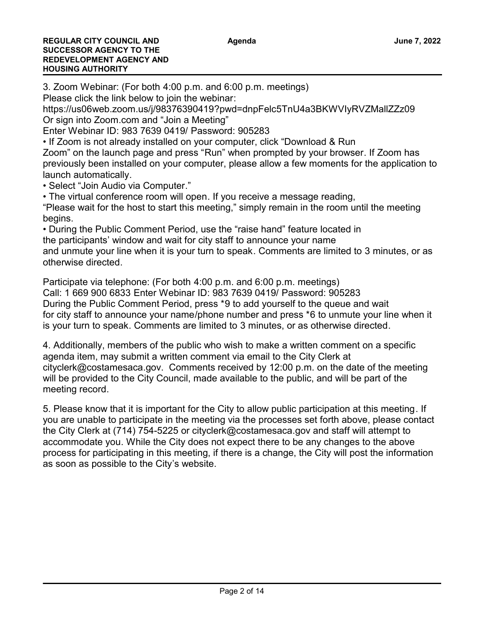3. Zoom Webinar: (For both 4:00 p.m. and 6:00 p.m. meetings)

Please click the link below to join the webinar:

https://us06web.zoom.us/j/98376390419?pwd=dnpFelc5TnU4a3BKWVIyRVZMallZZz09 Or sign into Zoom.com and "Join a Meeting"

Enter Webinar ID: 983 7639 0419/ Password: 905283

• If Zoom is not already installed on your computer, click "Download & Run

Zoom" on the launch page and press "Run" when prompted by your browser. If Zoom has previously been installed on your computer, please allow a few moments for the application to launch automatically.

• Select "Join Audio via Computer."

• The virtual conference room will open. If you receive a message reading, "Please wait for the host to start this meeting," simply remain in the room until the meeting begins.

• During the Public Comment Period, use the "raise hand" feature located in the participants' window and wait for city staff to announce your name

and unmute your line when it is your turn to speak. Comments are limited to 3 minutes, or as otherwise directed.

Participate via telephone: (For both 4:00 p.m. and 6:00 p.m. meetings) Call: 1 669 900 6833 Enter Webinar ID: 983 7639 0419/ Password: 905283

During the Public Comment Period, press \*9 to add yourself to the queue and wait for city staff to announce your name/phone number and press \*6 to unmute your line when it is your turn to speak. Comments are limited to 3 minutes, or as otherwise directed.

4. Additionally, members of the public who wish to make a written comment on a specific agenda item, may submit a written comment via email to the City Clerk at cityclerk@costamesaca.gov. Comments received by 12:00 p.m. on the date of the meeting will be provided to the City Council, made available to the public, and will be part of the meeting record.

5. Please know that it is important for the City to allow public participation at this meeting. If you are unable to participate in the meeting via the processes set forth above, please contact the City Clerk at (714) 754-5225 or cityclerk@costamesaca.gov and staff will attempt to accommodate you. While the City does not expect there to be any changes to the above process for participating in this meeting, if there is a change, the City will post the information as soon as possible to the City's website.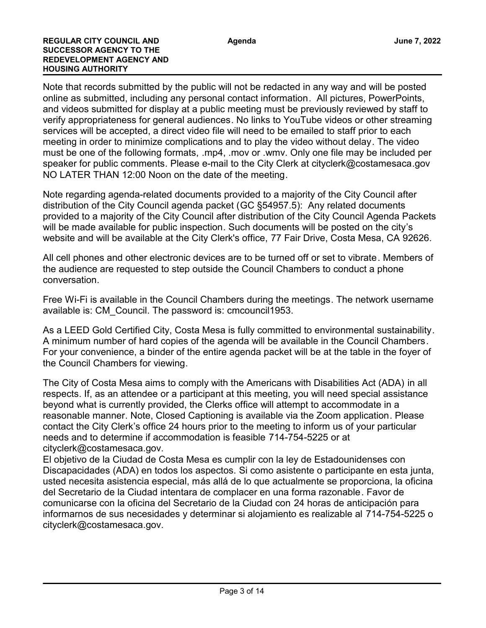Note that records submitted by the public will not be redacted in any way and will be posted online as submitted, including any personal contact information. All pictures, PowerPoints, and videos submitted for display at a public meeting must be previously reviewed by staff to verify appropriateness for general audiences. No links to YouTube videos or other streaming services will be accepted, a direct video file will need to be emailed to staff prior to each meeting in order to minimize complications and to play the video without delay. The video must be one of the following formats, .mp4, .mov or .wmv. Only one file may be included per speaker for public comments. Please e-mail to the City Clerk at cityclerk@costamesaca.gov NO LATER THAN 12:00 Noon on the date of the meeting.

Note regarding agenda-related documents provided to a majority of the City Council after distribution of the City Council agenda packet (GC §54957.5): Any related documents provided to a majority of the City Council after distribution of the City Council Agenda Packets will be made available for public inspection. Such documents will be posted on the city's website and will be available at the City Clerk's office, 77 Fair Drive, Costa Mesa, CA 92626.

All cell phones and other electronic devices are to be turned off or set to vibrate. Members of the audience are requested to step outside the Council Chambers to conduct a phone conversation.

Free Wi-Fi is available in the Council Chambers during the meetings. The network username available is: CM\_Council. The password is: cmcouncil1953.

As a LEED Gold Certified City, Costa Mesa is fully committed to environmental sustainability. A minimum number of hard copies of the agenda will be available in the Council Chambers. For your convenience, a binder of the entire agenda packet will be at the table in the foyer of the Council Chambers for viewing.

The City of Costa Mesa aims to comply with the Americans with Disabilities Act (ADA) in all respects. If, as an attendee or a participant at this meeting, you will need special assistance beyond what is currently provided, the Clerks office will attempt to accommodate in a reasonable manner. Note, Closed Captioning is available via the Zoom application. Please contact the City Clerk's office 24 hours prior to the meeting to inform us of your particular needs and to determine if accommodation is feasible 714-754-5225 or at cityclerk@costamesaca.gov.

El objetivo de la Ciudad de Costa Mesa es cumplir con la ley de Estadounidenses con Discapacidades (ADA) en todos los aspectos. Si como asistente o participante en esta junta, usted necesita asistencia especial, más allá de lo que actualmente se proporciona, la oficina del Secretario de la Ciudad intentara de complacer en una forma razonable. Favor de comunicarse con la oficina del Secretario de la Ciudad con 24 horas de anticipación para informarnos de sus necesidades y determinar si alojamiento es realizable al 714-754-5225 o cityclerk@costamesaca.gov.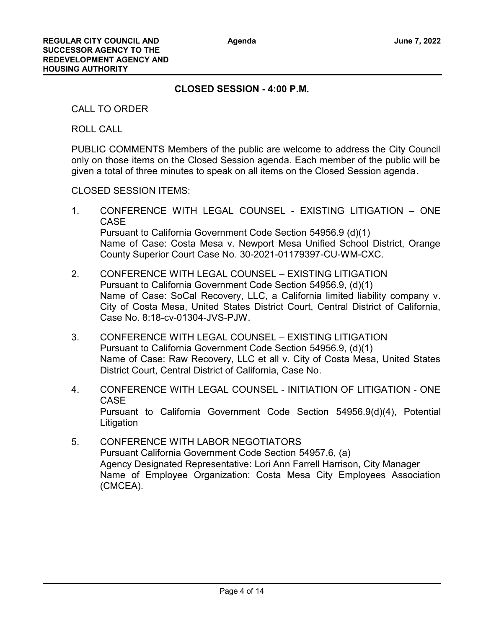# **CLOSED SESSION - 4:00 P.M.**

CALL TO ORDER

ROLL CALL

PUBLIC COMMENTS Members of the public are welcome to address the City Council only on those items on the Closed Session agenda. Each member of the public will be given a total of three minutes to speak on all items on the Closed Session agenda.

CLOSED SESSION ITEMS:

- 1. CONFERENCE WITH LEGAL COUNSEL EXISTING LITIGATION ONE **CASE** Pursuant to California Government Code Section 54956.9 (d)(1) Name of Case: Costa Mesa v. Newport Mesa Unified School District, Orange County Superior Court Case No. 30-2021-01179397-CU-WM-CXC.
- 2. CONFERENCE WITH LEGAL COUNSEL EXISTING LITIGATION Pursuant to California Government Code Section 54956.9, (d)(1) Name of Case: SoCal Recovery, LLC, a California limited liability company v. City of Costa Mesa, United States District Court, Central District of California, Case No. 8:18-cv-01304-JVS-PJW.
- 3. CONFERENCE WITH LEGAL COUNSEL EXISTING LITIGATION Pursuant to California Government Code Section 54956.9, (d)(1) Name of Case: Raw Recovery, LLC et all v. City of Costa Mesa, United States District Court, Central District of California, Case No.
- 4. CONFERENCE WITH LEGAL COUNSEL INITIATION OF LITIGATION ONE **CASE** Pursuant to California Government Code Section 54956.9(d)(4), Potential **Litigation**
- 5. CONFERENCE WITH LABOR NEGOTIATORS Pursuant California Government Code Section 54957.6, (a) Agency Designated Representative: Lori Ann Farrell Harrison, City Manager Name of Employee Organization: Costa Mesa City Employees Association (CMCEA).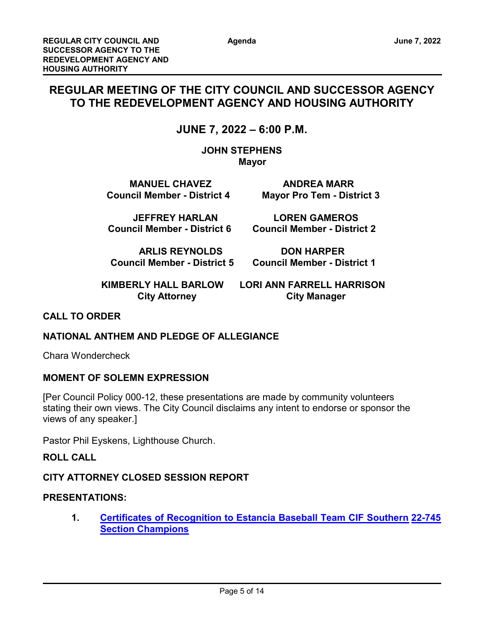# **REGULAR MEETING OF THE CITY COUNCIL AND SUCCESSOR AGENCY TO THE REDEVELOPMENT AGENCY AND HOUSING AUTHORITY**

# **JUNE 7, 2022 – 6:00 P.M.**

**JOHN STEPHENS Mayor** 

**MANUEL CHAVEZ ANDREA MARR Council Member - District 4 Mayor Pro Tem - District 3**

 **JEFFREY HARLAN LOREN GAMEROS Council Member - District 6 Council Member - District 2**

**ARLIS REYNOLDS DON HARPER**

 **Council Member - District 5 Council Member - District 1**

 **KIMBERLY HALL BARLOW LORI ANN FARRELL HARRISON City Attorney City Manager** 

# **CALL TO ORDER**

# **NATIONAL ANTHEM AND PLEDGE OF ALLEGIANCE**

Chara Wondercheck

# **MOMENT OF SOLEMN EXPRESSION**

[Per Council Policy 000-12, these presentations are made by community volunteers stating their own views. The City Council disclaims any intent to endorse or sponsor the views of any speaker.]

Pastor Phil Eyskens, Lighthouse Church.

# **ROLL CALL**

# **CITY ATTORNEY CLOSED SESSION REPORT**

# **PRESENTATIONS:**

**1. [Certificates of Recognition to Estancia Baseball Team CIF Southern](http://costamesa.legistar.com/gateway.aspx?m=l&id=/matter.aspx?key=1849)  [22-745](http://costamesa.legistar.com/gateway.aspx?m=l&id=/matter.aspx?key=1849) Section Champions**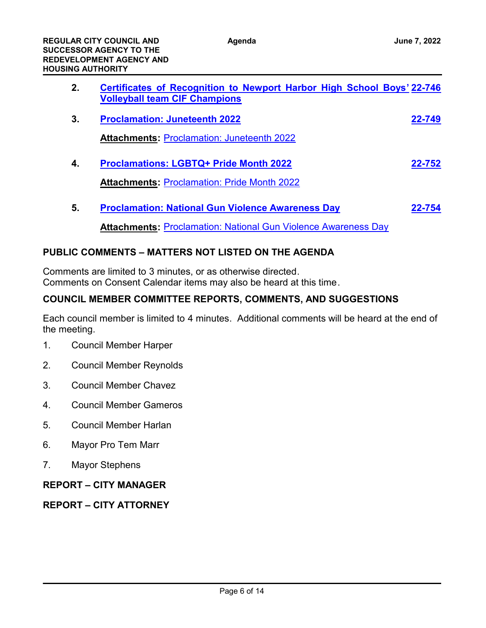| 2. | <b>Certificates of Recognition to Newport Harbor High School Boys' 22-746</b><br><b>Volleyball team CIF Champions</b> |        |
|----|-----------------------------------------------------------------------------------------------------------------------|--------|
| 3. | <b>Proclamation: Juneteenth 2022</b>                                                                                  | 22-749 |
|    | <b>Attachments: Proclamation: Juneteenth 2022</b>                                                                     |        |
| 4. | <b>Proclamations: LGBTQ+ Pride Month 2022</b>                                                                         | 22-752 |
|    | <b>Attachments: Proclamation: Pride Month 2022</b>                                                                    |        |
|    |                                                                                                                       |        |

**5. [Proclamation: National Gun Violence Awareness Day](http://costamesa.legistar.com/gateway.aspx?m=l&id=/matter.aspx?key=1858) [22-754](http://costamesa.legistar.com/gateway.aspx?m=l&id=/matter.aspx?key=1858)**

**Attachments:** [Proclamation: National Gun Violence Awareness Day](http://costamesa.legistar.com/gateway.aspx?M=F&ID=f68585ba-23dc-454e-8920-a25a054cc70d.pdf)

# **PUBLIC COMMENTS – MATTERS NOT LISTED ON THE AGENDA**

Comments are limited to 3 minutes, or as otherwise directed. Comments on Consent Calendar items may also be heard at this time.

# **COUNCIL MEMBER COMMITTEE REPORTS, COMMENTS, AND SUGGESTIONS**

Each council member is limited to 4 minutes. Additional comments will be heard at the end of the meeting.

- 1. Council Member Harper
- 2. Council Member Reynolds
- 3. Council Member Chavez
- 4. Council Member Gameros
- 5. Council Member Harlan
- 6. Mayor Pro Tem Marr
- 7. Mayor Stephens

# **REPORT – CITY MANAGER**

# **REPORT – CITY ATTORNEY**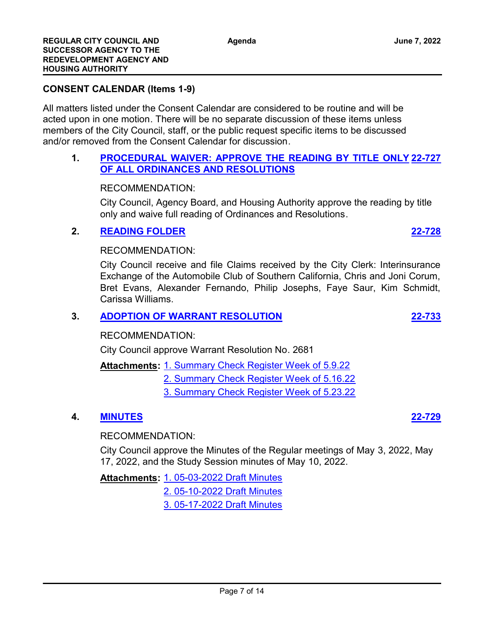### **CONSENT CALENDAR (Items 1-9)**

All matters listed under the Consent Calendar are considered to be routine and will be acted upon in one motion. There will be no separate discussion of these items unless members of the City Council, staff, or the public request specific items to be discussed and/or removed from the Consent Calendar for discussion.

#### **1. [PROCEDURAL WAIVER: APPROVE THE READING BY TITLE ONLY](http://costamesa.legistar.com/gateway.aspx?m=l&id=/matter.aspx?key=1831) [22-727](http://costamesa.legistar.com/gateway.aspx?m=l&id=/matter.aspx?key=1831) OF ALL ORDINANCES AND RESOLUTIONS**

#### RECOMMENDATION:

City Council, Agency Board, and Housing Authority approve the reading by title only and waive full reading of Ordinances and Resolutions.

#### **2. [READING FOLDER](http://costamesa.legistar.com/gateway.aspx?m=l&id=/matter.aspx?key=1832) [22-728](http://costamesa.legistar.com/gateway.aspx?m=l&id=/matter.aspx?key=1832)**

#### RECOMMENDATION:

City Council receive and file Claims received by the City Clerk: Interinsurance Exchange of the Automobile Club of Southern California, Chris and Joni Corum, Bret Evans, Alexander Fernando, Philip Josephs, Faye Saur, Kim Schmidt, Carissa Williams.

#### **3. [ADOPTION OF WARRANT RESOLUTION](http://costamesa.legistar.com/gateway.aspx?m=l&id=/matter.aspx?key=1837) [22-733](http://costamesa.legistar.com/gateway.aspx?m=l&id=/matter.aspx?key=1837)**

#### RECOMMENDATION:

City Council approve Warrant Resolution No. 2681

Attachments: [1. Summary Check Register Week of 5.9.22](http://costamesa.legistar.com/gateway.aspx?M=F&ID=e11aaa11-126f-4b7e-bd53-a2060358f748.pdf)

[2. Summary Check Register Week of 5.16.22](http://costamesa.legistar.com/gateway.aspx?M=F&ID=92bce8cc-eb47-4d95-84b2-8d35d7c29d4b.pdf)

[3. Summary Check Register Week of 5.23.22](http://costamesa.legistar.com/gateway.aspx?M=F&ID=e8feaa25-9027-4054-a2a6-e0597242aa5d.pdf)

#### **4. [MINUTES](http://costamesa.legistar.com/gateway.aspx?m=l&id=/matter.aspx?key=1833) [22-729](http://costamesa.legistar.com/gateway.aspx?m=l&id=/matter.aspx?key=1833)**

#### RECOMMENDATION:

City Council approve the Minutes of the Regular meetings of May 3, 2022, May 17, 2022, and the Study Session minutes of May 10, 2022.

[1. 05-03-2022 Draft Minutes](http://costamesa.legistar.com/gateway.aspx?M=F&ID=eb551844-a53d-47dd-8b38-d0e7af92c0fd.rtf) **Attachments:**

[2. 05-10-2022 Draft Minutes](http://costamesa.legistar.com/gateway.aspx?M=F&ID=6f87c9de-0269-4767-9ddd-7a5503f622f6.rtf)

[3. 05-17-2022 Draft Minutes](http://costamesa.legistar.com/gateway.aspx?M=F&ID=739ea8fd-7c1a-4e74-ae38-5720dc22a822.rtf)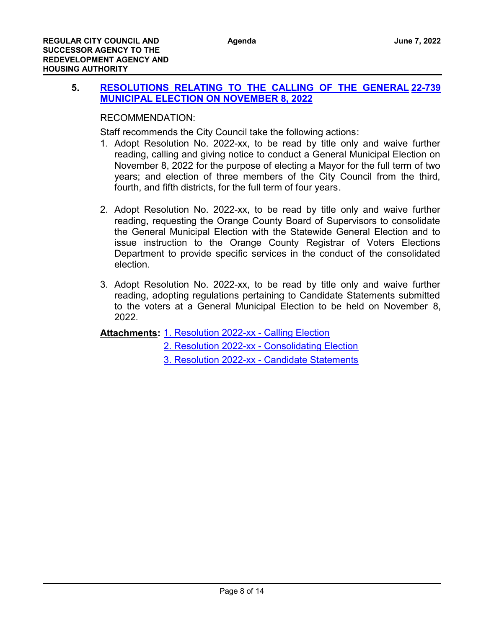# **5. [RESOLUTIONS RELATING TO THE CALLING OF THE GENERAL](http://costamesa.legistar.com/gateway.aspx?m=l&id=/matter.aspx?key=1843) [22-739](http://costamesa.legistar.com/gateway.aspx?m=l&id=/matter.aspx?key=1843) MUNICIPAL ELECTION ON NOVEMBER 8, 2022**

# RECOMMENDATION:

Staff recommends the City Council take the following actions:

- 1. Adopt Resolution No. 2022-xx, to be read by title only and waive further reading, calling and giving notice to conduct a General Municipal Election on November 8, 2022 for the purpose of electing a Mayor for the full term of two years; and election of three members of the City Council from the third, fourth, and fifth districts, for the full term of four years.
- 2. Adopt Resolution No. 2022-xx, to be read by title only and waive further reading, requesting the Orange County Board of Supervisors to consolidate the General Municipal Election with the Statewide General Election and to issue instruction to the Orange County Registrar of Voters Elections Department to provide specific services in the conduct of the consolidated election.
- 3. Adopt Resolution No. 2022-xx, to be read by title only and waive further reading, adopting regulations pertaining to Candidate Statements submitted to the voters at a General Municipal Election to be held on November 8, 2022.

Attachments: [1. Resolution 2022-xx - Calling Election](http://costamesa.legistar.com/gateway.aspx?M=F&ID=1bd8425a-d53e-4a29-8677-ddc7dab0d7e7.doc)

[2. Resolution 2022-xx - Consolidating Election](http://costamesa.legistar.com/gateway.aspx?M=F&ID=00b7ded7-9518-4c5a-96f9-bce82c888e8a.doc)

[3. Resolution 2022-xx - Candidate Statements](http://costamesa.legistar.com/gateway.aspx?M=F&ID=71f5cd04-f952-438d-9055-21f0d94b913c.doc)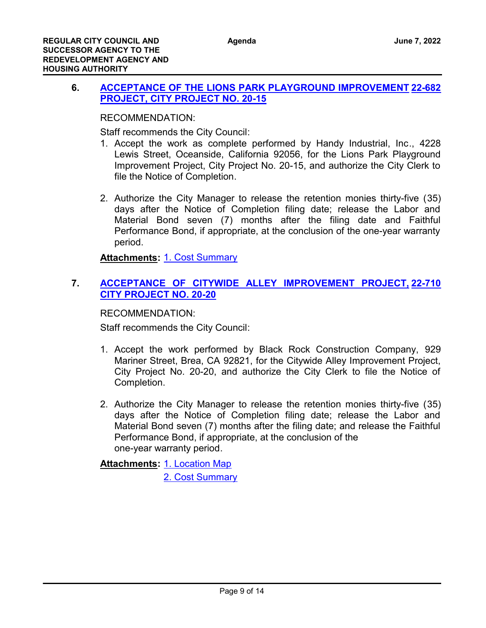# **6. [ACCEPTANCE OF THE LIONS PARK PLAYGROUND IMPROVEMENT](http://costamesa.legistar.com/gateway.aspx?m=l&id=/matter.aspx?key=1786) [22-682](http://costamesa.legistar.com/gateway.aspx?m=l&id=/matter.aspx?key=1786) PROJECT, CITY PROJECT NO. 20-15**

RECOMMENDATION:

Staff recommends the City Council:

- 1. Accept the work as complete performed by Handy Industrial, Inc., 4228 Lewis Street, Oceanside, California 92056, for the Lions Park Playground Improvement Project, City Project No. 20-15, and authorize the City Clerk to file the Notice of Completion.
- 2. Authorize the City Manager to release the retention monies thirty-five (35) days after the Notice of Completion filing date; release the Labor and Material Bond seven (7) months after the filing date and Faithful Performance Bond, if appropriate, at the conclusion of the one-year warranty period.

**Attachments:** [1. Cost Summary](http://costamesa.legistar.com/gateway.aspx?M=F&ID=0c31518d-8c6b-4932-9646-c1ce2b401353.pdf)

# **7. [ACCEPTANCE OF CITYWIDE ALLEY IMPROVEMENT PROJECT,](http://costamesa.legistar.com/gateway.aspx?m=l&id=/matter.aspx?key=1814) [22-710](http://costamesa.legistar.com/gateway.aspx?m=l&id=/matter.aspx?key=1814) CITY PROJECT NO. 20-20**

RECOMMENDATION:

Staff recommends the City Council:

- 1. Accept the work performed by Black Rock Construction Company, 929 Mariner Street, Brea, CA 92821, for the Citywide Alley Improvement Project, City Project No. 20-20, and authorize the City Clerk to file the Notice of Completion.
- 2. Authorize the City Manager to release the retention monies thirty-five (35) days after the Notice of Completion filing date; release the Labor and Material Bond seven (7) months after the filing date; and release the Faithful Performance Bond, if appropriate, at the conclusion of the one-year warranty period.

<u>Attachments: [1. Location Map](http://costamesa.legistar.com/gateway.aspx?M=F&ID=be3ab469-4115-4e4d-b58a-d0b2c6e5f8ed.pdf)</u> [2. Cost Summary](http://costamesa.legistar.com/gateway.aspx?M=F&ID=07be6b45-3f07-4015-bddc-4785927f9de9.pdf)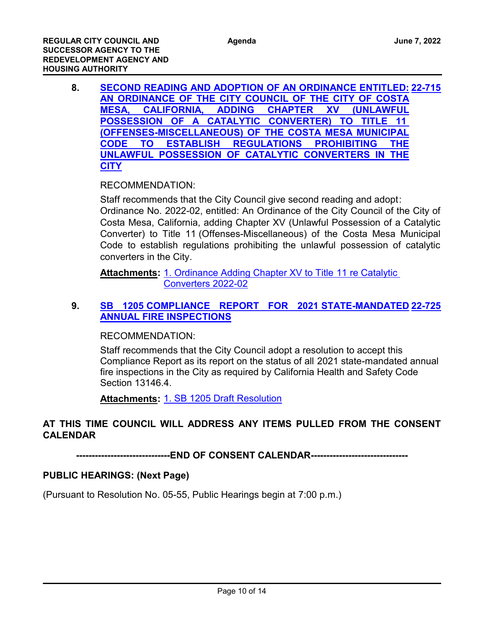**8. [SECOND READING AND ADOPTION OF AN ORDINANCE ENTITLED:](http://costamesa.legistar.com/gateway.aspx?m=l&id=/matter.aspx?key=1819) [22-715](http://costamesa.legistar.com/gateway.aspx?m=l&id=/matter.aspx?key=1819) AN ORDINANCE OF THE CITY COUNCIL OF THE CITY OF COSTA MESA, CALIFORNIA, ADDING CHAPTER XV (UNLAWFUL POSSESSION OF A CATALYTIC CONVERTER) TO TITLE 11 (OFFENSES-MISCELLANEOUS) OF THE COSTA MESA MUNICIPAL CODE TO ESTABLISH REGULATIONS PROHIBITING THE UNLAWFUL POSSESSION OF CATALYTIC CONVERTERS IN THE CITY**

RECOMMENDATION:

Staff recommends that the City Council give second reading and adopt: Ordinance No. 2022-02, entitled: An Ordinance of the City Council of the City of Costa Mesa, California, adding Chapter XV (Unlawful Possession of a Catalytic Converter) to Title 11 (Offenses-Miscellaneous) of the Costa Mesa Municipal Code to establish regulations prohibiting the unlawful possession of catalytic converters in the City.

Attachments: 1. Ordinance Adding Chapter XV to Title 11 re Catalytic Converters 2022-02

# **9. [SB 1205 COMPLIANCE REPORT FOR 2021 STATE-MANDATED](http://costamesa.legistar.com/gateway.aspx?m=l&id=/matter.aspx?key=1829) [22-725](http://costamesa.legistar.com/gateway.aspx?m=l&id=/matter.aspx?key=1829) ANNUAL FIRE INSPECTIONS**

RECOMMENDATION:

Staff recommends that the City Council adopt a resolution to accept this Compliance Report as its report on the status of all 2021 state-mandated annual fire inspections in the City as required by California Health and Safety Code Section 13146.4.

**Attachments:** [1. SB 1205 Draft Resolution](http://costamesa.legistar.com/gateway.aspx?M=F&ID=9a030bfe-2180-48cb-9ea3-7cac36a5595d.docx)

# **AT THIS TIME COUNCIL WILL ADDRESS ANY ITEMS PULLED FROM THE CONSENT CALENDAR**

**------------------------------END OF CONSENT CALENDAR-------------------------------**

# **PUBLIC HEARINGS: (Next Page)**

(Pursuant to Resolution No. 05-55, Public Hearings begin at 7:00 p.m.)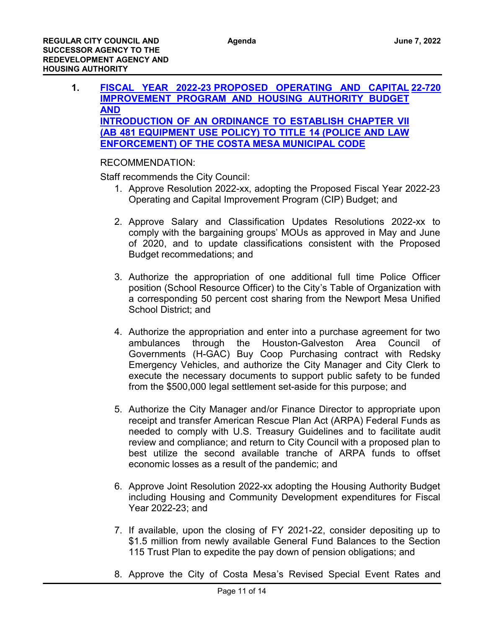**1. [FISCAL YEAR 2022-23 PROPOSED OPERATING AND CAPITAL](http://costamesa.legistar.com/gateway.aspx?m=l&id=/matter.aspx?key=1824) [22-720](http://costamesa.legistar.com/gateway.aspx?m=l&id=/matter.aspx?key=1824) IMPROVEMENT PROGRAM AND HOUSING AUTHORITY BUDGET AND INTRODUCTION OF AN ORDINANCE TO ESTABLISH CHAPTER VII (AB 481 EQUIPMENT USE POLICY) TO TITLE 14 (POLICE AND LAW ENFORCEMENT) OF THE COSTA MESA MUNICIPAL CODE**

# RECOMMENDATION:

Staff recommends the City Council:

- 1. Approve Resolution 2022-xx, adopting the Proposed Fiscal Year 2022-23 Operating and Capital Improvement Program (CIP) Budget; and
- 2. Approve Salary and Classification Updates Resolutions 2022-xx to comply with the bargaining groups' MOUs as approved in May and June of 2020, and to update classifications consistent with the Proposed Budget recommedations; and
- 3. Authorize the appropriation of one additional full time Police Officer position (School Resource Officer) to the City's Table of Organization with a corresponding 50 percent cost sharing from the Newport Mesa Unified School District; and
- 4. Authorize the appropriation and enter into a purchase agreement for two ambulances through the Houston-Galveston Area Council of Governments (H-GAC) Buy Coop Purchasing contract with Redsky Emergency Vehicles, and authorize the City Manager and City Clerk to execute the necessary documents to support public safety to be funded from the \$500,000 legal settlement set-aside for this purpose; and
- 5. Authorize the City Manager and/or Finance Director to appropriate upon receipt and transfer American Rescue Plan Act (ARPA) Federal Funds as needed to comply with U.S. Treasury Guidelines and to facilitate audit review and compliance; and return to City Council with a proposed plan to best utilize the second available tranche of ARPA funds to offset economic losses as a result of the pandemic; and
- 6. Approve Joint Resolution 2022-xx adopting the Housing Authority Budget including Housing and Community Development expenditures for Fiscal Year 2022-23; and
- 7. If available, upon the closing of FY 2021-22, consider depositing up to \$1.5 million from newly available General Fund Balances to the Section 115 Trust Plan to expedite the pay down of pension obligations; and
- 8. Approve the City of Costa Mesa's Revised Special Event Rates and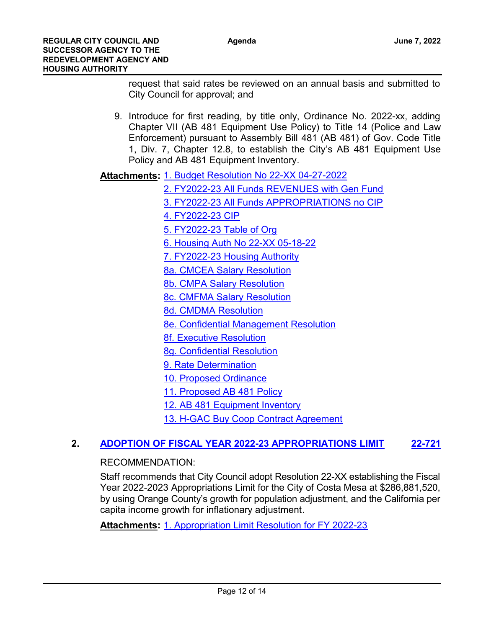request that said rates be reviewed on an annual basis and submitted to City Council for approval; and

9. Introduce for first reading, by title only, Ordinance No. 2022-xx, adding Chapter VII (AB 481 Equipment Use Policy) to Title 14 (Police and Law Enforcement) pursuant to Assembly Bill 481 (AB 481) of Gov. Code Title 1, Div. 7, Chapter 12.8, to establish the City's AB 481 Equipment Use Policy and AB 481 Equipment Inventory.

Attachments: [1. Budget Resolution No 22-XX 04-27-2022](http://costamesa.legistar.com/gateway.aspx?M=F&ID=dc22e2be-e579-417d-ba2d-a883e0cdf73a.docx)

- [2. FY2022-23 All Funds REVENUES with Gen Fund](http://costamesa.legistar.com/gateway.aspx?M=F&ID=d008a775-44c9-4b28-9492-4e34080b38a0.pdf) [3. FY2022-23 All Funds APPROPRIATIONS no CIP](http://costamesa.legistar.com/gateway.aspx?M=F&ID=9490a285-0567-4565-b348-53af8cd0a213.pdf)
- [4. FY2022-23 CIP](http://costamesa.legistar.com/gateway.aspx?M=F&ID=5fcacf85-d9aa-45e7-a64a-88e078c6ac95.pdf)
- [5. FY2022-23 Table of Org](http://costamesa.legistar.com/gateway.aspx?M=F&ID=af531fa3-7c90-4fbf-a539-38f6e67df3ec.pdf)
- [6. Housing Auth No 22-XX 05-18-22](http://costamesa.legistar.com/gateway.aspx?M=F&ID=cd15437c-1139-45ed-a31e-ba06b7523afd.docx)
- [7. FY2022-23 Housing Authority](http://costamesa.legistar.com/gateway.aspx?M=F&ID=992d6e0f-cbe5-4e54-83d1-62157c6f127a.pdf)
- [8a. CMCEA Salary Resolution](http://costamesa.legistar.com/gateway.aspx?M=F&ID=437fcce5-2399-4ceb-8b21-e819ad861b3b.docx)
- [8b. CMPA Salary Resolution](http://costamesa.legistar.com/gateway.aspx?M=F&ID=e928ca43-c4fd-4bef-9020-4e8544db9698.docx)
- [8c. CMFMA Salary Resolution](http://costamesa.legistar.com/gateway.aspx?M=F&ID=4afece47-15b9-4ab3-b512-4cbdfa4793ad.docx)
- [8d. CMDMA Resolution](http://costamesa.legistar.com/gateway.aspx?M=F&ID=c8c3c2f8-8a8a-4408-9e88-3b55864e66fb.docx)
- [8e. Confidential Management Resolution](http://costamesa.legistar.com/gateway.aspx?M=F&ID=24394db2-6bd8-4083-a1bf-9573fc3f42d1.docx)
- [8f. Executive Resolution](http://costamesa.legistar.com/gateway.aspx?M=F&ID=00a781fe-b96b-441b-b2d3-04fc530e6a2e.docx)
- [8g. Confidential Resolution](http://costamesa.legistar.com/gateway.aspx?M=F&ID=78175cd8-679c-4168-9d88-363a985c5c8e.docx)
- [9. Rate Determination](http://costamesa.legistar.com/gateway.aspx?M=F&ID=8666d4d4-f85b-48e8-97a8-d6b5471ebf93.pdf)
- [10. Proposed Ordinance](http://costamesa.legistar.com/gateway.aspx?M=F&ID=049a4b88-b126-42fb-bdcd-a74838595d5b.docx)
- [11. Proposed AB 481 Policy](http://costamesa.legistar.com/gateway.aspx?M=F&ID=1ae8489f-ab1b-48b0-a4b1-c3be3650c76e.pdf)
- [12. AB 481 Equipment Inventory](http://costamesa.legistar.com/gateway.aspx?M=F&ID=b3a1d21a-cedb-454e-b600-a37d1188d733.pdf)
- [13. H-GAC Buy Coop Contract Agreement](http://costamesa.legistar.com/gateway.aspx?M=F&ID=f9b77e4f-6d94-46c4-a58c-5e9ba0be70ec.pdf)

# **2. [ADOPTION OF FISCAL YEAR 2022-23 APPROPRIATIONS LIMIT](http://costamesa.legistar.com/gateway.aspx?m=l&id=/matter.aspx?key=1825) [22-721](http://costamesa.legistar.com/gateway.aspx?m=l&id=/matter.aspx?key=1825)**

# RECOMMENDATION:

Staff recommends that City Council adopt Resolution 22-XX establishing the Fiscal Year 2022-2023 Appropriations Limit for the City of Costa Mesa at \$286,881,520, by using Orange County's growth for population adjustment, and the California per capita income growth for inflationary adjustment.

**Attachments:** [1. Appropriation Limit Resolution for FY 2022-23](http://costamesa.legistar.com/gateway.aspx?M=F&ID=b0887da0-f3c5-441e-b4f5-a6c812b48b75.docx)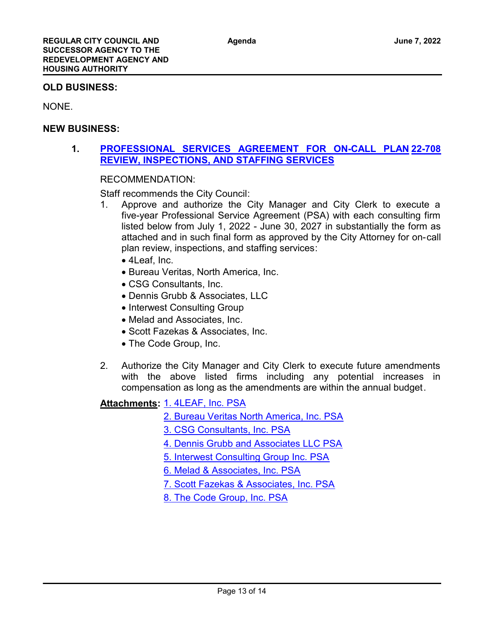### **OLD BUSINESS:**

NONE.

### **NEW BUSINESS:**

# **1. [PROFESSIONAL SERVICES AGREEMENT FOR ON-CALL PLAN](http://costamesa.legistar.com/gateway.aspx?m=l&id=/matter.aspx?key=1812) [22-708](http://costamesa.legistar.com/gateway.aspx?m=l&id=/matter.aspx?key=1812) REVIEW, INSPECTIONS, AND STAFFING SERVICES**

# RECOMMENDATION:

Staff recommends the City Council:

- 1. Approve and authorize the City Manager and City Clerk to execute a five-year Professional Service Agreement (PSA) with each consulting firm listed below from July 1, 2022 - June 30, 2027 in substantially the form as attached and in such final form as approved by the City Attorney for on-call plan review, inspections, and staffing services:
	- · 4Leaf, Inc.
	- · Bureau Veritas, North America, Inc.
	- · CSG Consultants, Inc.
	- · Dennis Grubb & Associates, LLC
	- Interwest Consulting Group
	- · Melad and Associates, Inc.
	- · Scott Fazekas & Associates, Inc.
	- · The Code Group, Inc.
- 2. Authorize the City Manager and City Clerk to execute future amendments with the above listed firms including any potential increases in compensation as long as the amendments are within the annual budget.

# [1. 4LEAF, Inc. PSA](http://costamesa.legistar.com/gateway.aspx?M=F&ID=b7516014-4c26-4c7b-8a0c-351924ba9a23.pdf) **Attachments:**

[2. Bureau Veritas North America, Inc. PSA](http://costamesa.legistar.com/gateway.aspx?M=F&ID=646e836b-12a4-4a60-894d-84a0ef440df7.pdf)

[3. CSG Consultants, Inc. PSA](http://costamesa.legistar.com/gateway.aspx?M=F&ID=f8dda06e-7720-41f9-92f4-8735a2d2fda3.pdf)

[4. Dennis Grubb and Associates LLC PSA](http://costamesa.legistar.com/gateway.aspx?M=F&ID=bacd8ba3-0c36-416e-a502-d81ae2f3ce02.pdf)

[5. Interwest Consulting Group Inc. PSA](http://costamesa.legistar.com/gateway.aspx?M=F&ID=e53cefca-05b4-41ab-a15a-e22cec5992f1.pdf)

- [6. Melad & Associates, Inc. PSA](http://costamesa.legistar.com/gateway.aspx?M=F&ID=50b6a1e4-892f-4a2f-ad61-1efe7eb11073.pdf)
- [7. Scott Fazekas & Associates, Inc. PSA](http://costamesa.legistar.com/gateway.aspx?M=F&ID=655006e5-780d-4f01-b2ca-588455c6e5c9.pdf)

[8. The Code Group, Inc. PSA](http://costamesa.legistar.com/gateway.aspx?M=F&ID=0d901684-4c0d-43d8-91c8-6c2239dd7f15.pdf)